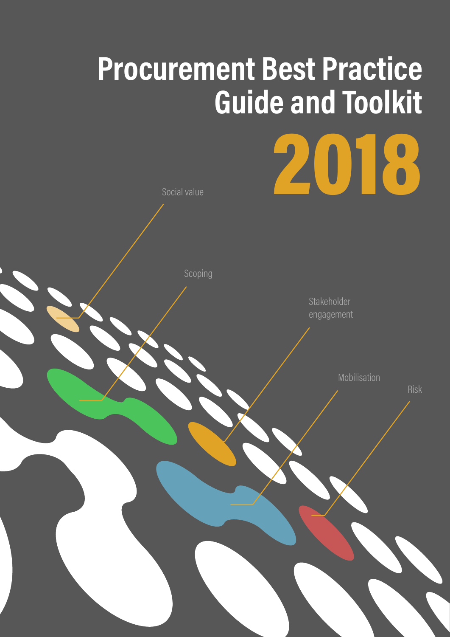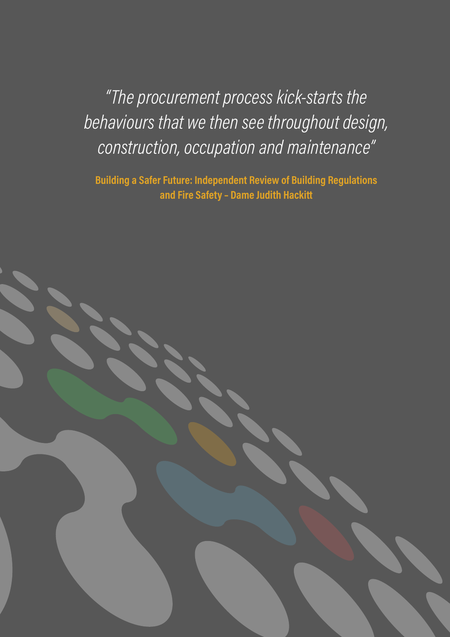*"The procurement process kick-starts the behaviours that we then see throughout design, construction, occupation and maintenance"*

**Building a Safer Future: Independent Review of Building Regulations and Fire Safety – Dame Judith Hackitt**

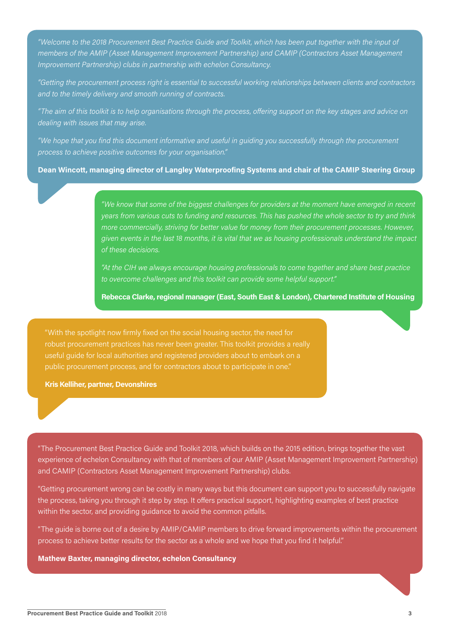*"Welcome to the 2018 Procurement Best Practice Guide and Toolkit, which has been put together with the input of members of the AMIP (Asset Management Improvement Partnership) and CAMIP (Contractors Asset Management Improvement Partnership) clubs in partnership with echelon Consultancy.*

*"Getting the procurement process right is essential to successful working relationships between clients and contractors and to the timely delivery and smooth running of contracts.* 

*"The aim of this toolkit is to help organisations through the process, offering support on the key stages and advice on dealing with issues that may arise.*

*"We hope that you find this document informative and useful in guiding you successfully through the procurement process to achieve positive outcomes for your organisation."*

**Dean Wincott, managing director of Langley Waterproofing Systems and chair of the CAMIP Steering Group**

*"We know that some of the biggest challenges for providers at the moment have emerged in recent years from various cuts to funding and resources. This has pushed the whole sector to try and think more commercially, striving for better value for money from their procurement processes. However, given events in the last 18 months, it is vital that we as housing professionals understand the impact of these decisions.* 

*"At the CIH we always encourage housing professionals to come together and share best practice to overcome challenges and this toolkit can provide some helpful support."*

**Rebecca Clarke, regional manager (East, South East & London), Chartered Institute of Housing**

"With the spotlight now firmly fixed on the social housing sector, the need for robust procurement practices has never been greater. This toolkit provides a really useful guide for local authorities and registered providers about to embark on a public procurement process, and for contractors about to participate in one."

**Kris Kelliher, partner, Devonshires** 

"The Procurement Best Practice Guide and Toolkit 2018, which builds on the 2015 edition, brings together the vast experience of echelon Consultancy with that of members of our AMIP (Asset Management Improvement Partnership) and CAMIP (Contractors Asset Management Improvement Partnership) clubs.

"Getting procurement wrong can be costly in many ways but this document can support you to successfully navigate the process, taking you through it step by step. It offers practical support, highlighting examples of best practice within the sector, and providing guidance to avoid the common pitfalls.

"The guide is borne out of a desire by AMIP/CAMIP members to drive forward improvements within the procurement process to achieve better results for the sector as a whole and we hope that you find it helpful."

**Mathew Baxter, managing director, echelon Consultancy**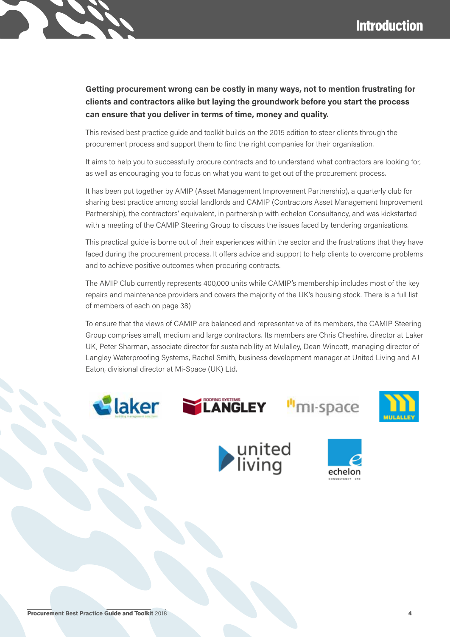### **Getting procurement wrong can be costly in many ways, not to mention frustrating for clients and contractors alike but laying the groundwork before you start the process can ensure that you deliver in terms of time, money and quality.**

This revised best practice guide and toolkit builds on the 2015 edition to steer clients through the procurement process and support them to find the right companies for their organisation.

It aims to help you to successfully procure contracts and to understand what contractors are looking for, as well as encouraging you to focus on what you want to get out of the procurement process.

It has been put together by AMIP (Asset Management Improvement Partnership), a quarterly club for sharing best practice among social landlords and CAMIP (Contractors Asset Management Improvement Partnership), the contractors' equivalent, in partnership with echelon Consultancy, and was kickstarted with a meeting of the CAMIP Steering Group to discuss the issues faced by tendering organisations.

This practical guide is borne out of their experiences within the sector and the frustrations that they have faced during the procurement process. It offers advice and support to help clients to overcome problems and to achieve positive outcomes when procuring contracts.

The AMIP Club currently represents 400,000 units while CAMIP's membership includes most of the key repairs and maintenance providers and covers the majority of the UK's housing stock. There is a full list of members of each on page 38)

To ensure that the views of CAMIP are balanced and representative of its members, the CAMIP Steering Group comprises small, medium and large contractors. Its members are Chris Cheshire, director at Laker UK, Peter Sharman, associate director for sustainability at Mulalley, Dean Wincott, managing director of Langley Waterproofing Systems, Rachel Smith, business development manager at United Living and AJ Eaton, divisional director at Mi-Space (UK) Ltd.









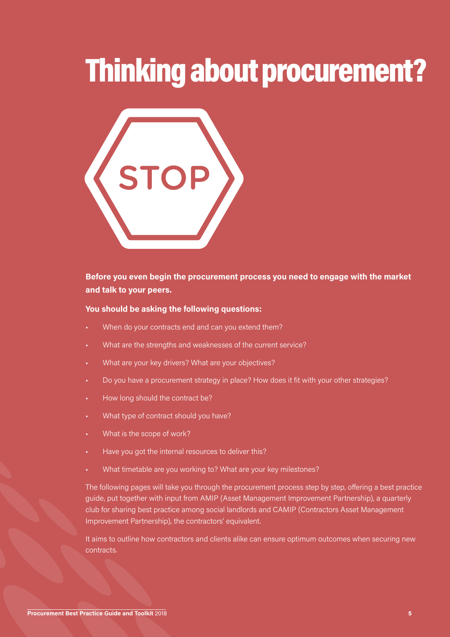## Thinking about procurement?



#### **Before you even begin the procurement process you need to engage with the market and talk to your peers.**

#### **You should be asking the following questions:**

- When do your contracts end and can you extend them?
- What are the strengths and weaknesses of the current service?
- What are your key drivers? What are your objectives?
- Do you have a procurement strategy in place? How does it fit with your other strategies?
- How long should the contract be?
- What type of contract should you have?
- What is the scope of work?
- Have you got the internal resources to deliver this?
- What timetable are you working to? What are your key milestones?

The following pages will take you through the procurement process step by step, offering a best practice guide, put together with input from AMIP (Asset Management Improvement Partnership), a quarterly club for sharing best practice among social landlords and CAMIP (Contractors Asset Management Improvement Partnership), the contractors' equivalent.

It aims to outline how contractors and clients alike can ensure optimum outcomes when securing new contracts.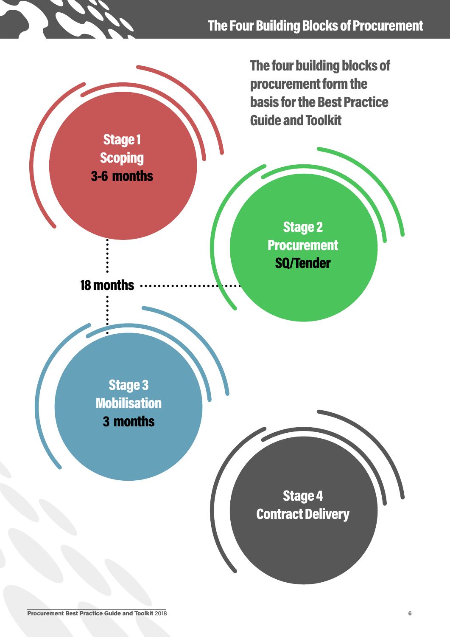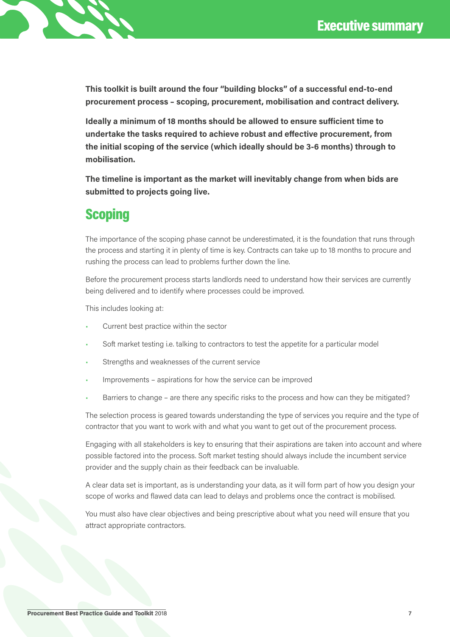

**This toolkit is built around the four "building blocks" of a successful end-to-end procurement process – scoping, procurement, mobilisation and contract delivery.**

**Ideally a minimum of 18 months should be allowed to ensure sufficient time to undertake the tasks required to achieve robust and effective procurement, from the initial scoping of the service (which ideally should be 3-6 months) through to mobilisation.**

**The timeline is important as the market will inevitably change from when bids are submitted to projects going live.**

### **Scoping**

The importance of the scoping phase cannot be underestimated, it is the foundation that runs through the process and starting it in plenty of time is key. Contracts can take up to 18 months to procure and rushing the process can lead to problems further down the line.

Before the procurement process starts landlords need to understand how their services are currently being delivered and to identify where processes could be improved.

This includes looking at:

- Current best practice within the sector
- Soft market testing i.e. talking to contractors to test the appetite for a particular model
- Strengths and weaknesses of the current service
- Improvements aspirations for how the service can be improved
- Barriers to change are there any specific risks to the process and how can they be mitigated?

The selection process is geared towards understanding the type of services you require and the type of contractor that you want to work with and what you want to get out of the procurement process.

Engaging with all stakeholders is key to ensuring that their aspirations are taken into account and where possible factored into the process. Soft market testing should always include the incumbent service provider and the supply chain as their feedback can be invaluable.

A clear data set is important, as is understanding your data, as it will form part of how you design your scope of works and flawed data can lead to delays and problems once the contract is mobilised.

You must also have clear objectives and being prescriptive about what you need will ensure that you attract appropriate contractors.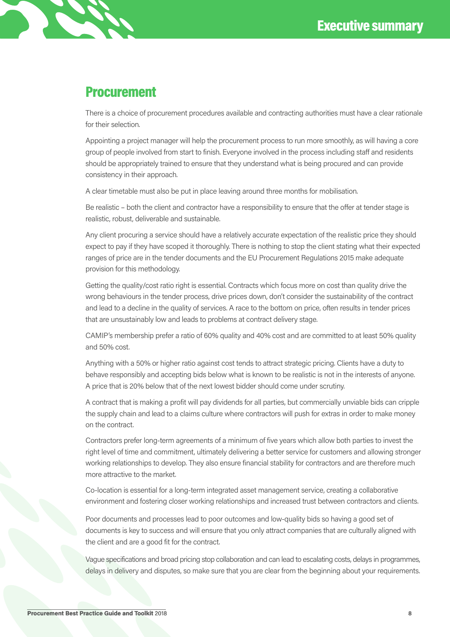### **Procurement**

There is a choice of procurement procedures available and contracting authorities must have a clear rationale for their selection.

Appointing a project manager will help the procurement process to run more smoothly, as will having a core group of people involved from start to finish. Everyone involved in the process including staff and residents should be appropriately trained to ensure that they understand what is being procured and can provide consistency in their approach.

A clear timetable must also be put in place leaving around three months for mobilisation.

Be realistic – both the client and contractor have a responsibility to ensure that the offer at tender stage is realistic, robust, deliverable and sustainable.

Any client procuring a service should have a relatively accurate expectation of the realistic price they should expect to pay if they have scoped it thoroughly. There is nothing to stop the client stating what their expected ranges of price are in the tender documents and the EU Procurement Regulations 2015 make adequate provision for this methodology.

Getting the quality/cost ratio right is essential. Contracts which focus more on cost than quality drive the wrong behaviours in the tender process, drive prices down, don't consider the sustainability of the contract and lead to a decline in the quality of services. A race to the bottom on price, often results in tender prices that are unsustainably low and leads to problems at contract delivery stage.

CAMIP's membership prefer a ratio of 60% quality and 40% cost and are committed to at least 50% quality and 50% cost.

Anything with a 50% or higher ratio against cost tends to attract strategic pricing. Clients have a duty to behave responsibly and accepting bids below what is known to be realistic is not in the interests of anyone. A price that is 20% below that of the next lowest bidder should come under scrutiny.

A contract that is making a profit will pay dividends for all parties, but commercially unviable bids can cripple the supply chain and lead to a claims culture where contractors will push for extras in order to make money on the contract.

Contractors prefer long-term agreements of a minimum of five years which allow both parties to invest the right level of time and commitment, ultimately delivering a better service for customers and allowing stronger working relationships to develop. They also ensure financial stability for contractors and are therefore much more attractive to the market.

Co-location is essential for a long-term integrated asset management service, creating a collaborative environment and fostering closer working relationships and increased trust between contractors and clients.

Poor documents and processes lead to poor outcomes and low-quality bids so having a good set of documents is key to success and will ensure that you only attract companies that are culturally aligned with the client and are a good fit for the contract.

Vague specifications and broad pricing stop collaboration and can lead to escalating costs, delays in programmes, delays in delivery and disputes, so make sure that you are clear from the beginning about your requirements.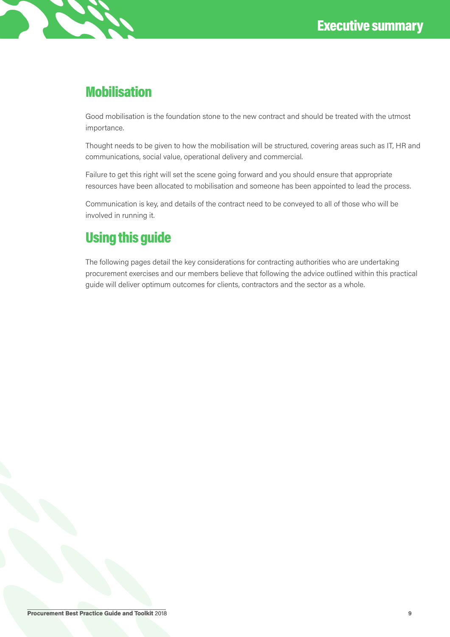### **Mobilisation**

Good mobilisation is the foundation stone to the new contract and should be treated with the utmost importance.

Thought needs to be given to how the mobilisation will be structured, covering areas such as IT, HR and communications, social value, operational delivery and commercial.

Failure to get this right will set the scene going forward and you should ensure that appropriate resources have been allocated to mobilisation and someone has been appointed to lead the process.

Communication is key, and details of the contract need to be conveyed to all of those who will be involved in running it.

### Using this guide

The following pages detail the key considerations for contracting authorities who are undertaking procurement exercises and our members believe that following the advice outlined within this practical guide will deliver optimum outcomes for clients, contractors and the sector as a whole.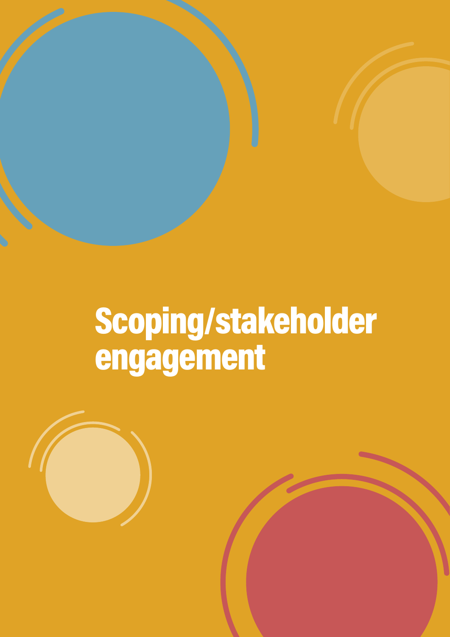# Scoping/stakeholder engagement

**Procurement Best Practice Guide and Toolkit** 2018 **10**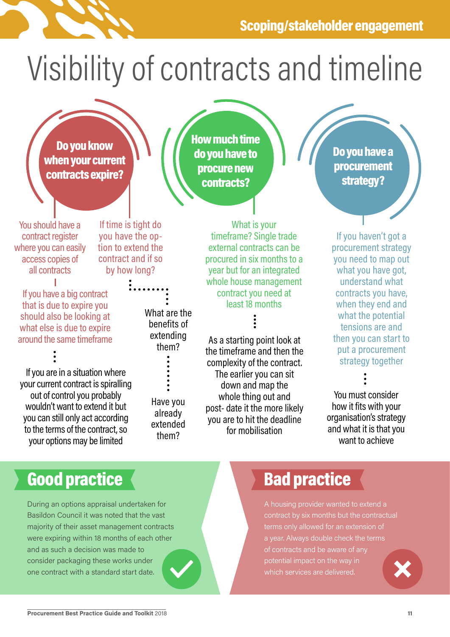# Visibility of contracts and timeline

How much time do you have to procure new contracts?

Do you know when your current contracts expire?

You should have a contract register where you can easily access copies of all contracts

If time is tight do you have the option to extend the contract and if so by how long?

If you have a big contract that is due to expire you should also be looking at what else is due to expire around the same timeframe

If you are in a situation where your current contract is spiralling out of control you probably wouldn't want to extend it but you can still only act according to the terms of the contract, so your options may be limited

What are the

benefits of extending them?

Have you already extended them?

What is your timeframe? Single trade external contracts can be procured in six months to a year but for an integrated whole house management contract you need at least 18 months

As a starting point look at the timeframe and then the complexity of the contract. The earlier you can sit down and map the whole thing out and post- date it the more likely you are to hit the deadline for mobilisation

Do you have a procurement strategy?

If you haven't got a procurement strategy you need to map out what you have got, understand what contracts you have, when they end and what the potential tensions are and then you can start to put a procurement strategy together

You must consider how it fits with your organisation's strategy and what it is that you want to achieve

## Good practice **Contact Executive Bad practice**

During an options appraisal undertaken for Basildon Council it was noted that the vast majority of their asset management contracts were expiring within 18 months of each other and as such a decision was made to consider packaging these works under one contract with a standard start date.

A housing provider wanted to extend a contract by six months but the contractual terms only allowed for an extension of a year. Always double check the terms of contracts and be aware of any potential impact on the way in which services are delivered.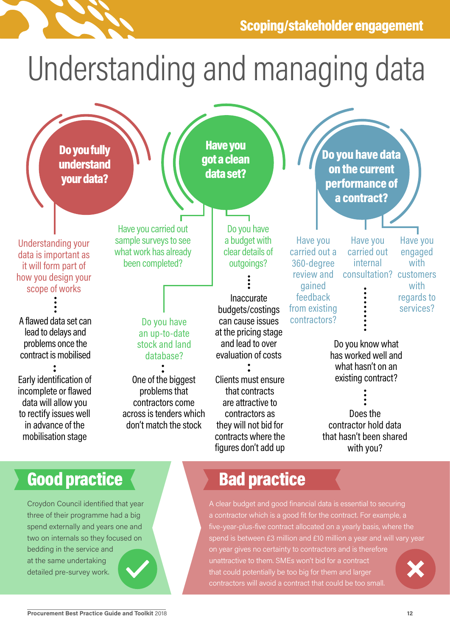

# Understanding and managing data



## Good practice **Bad practice**

Croydon Council identified that year three of their programme had a big spend externally and years one and two on internals so they focused on bedding in the service and at the same undertaking detailed pre-survey work.

A clear budget and good financial data is essential to securing a contractor which is a good fit for the contract. For example, a five-year-plus-five contract allocated on a yearly basis, where the spend is between £3 million and £10 million a year and will vary year on year gives no certainty to contractors and is therefore unattractive to them. SMEs won't bid for a contract that could potentially be too big for them and larger contractors will avoid a contract that could be too small.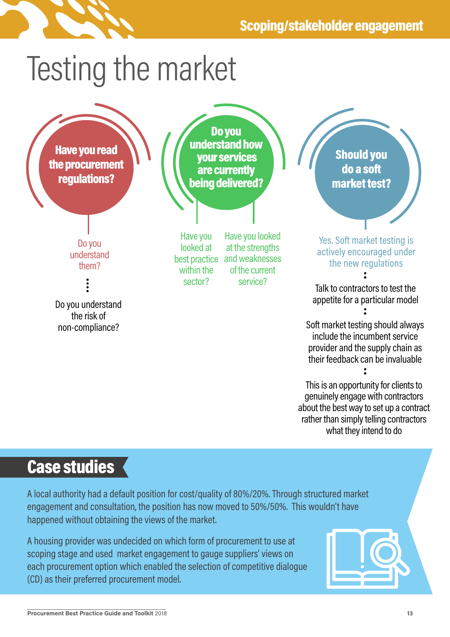

## Testing the market



## Case studies

A local authority had a default position for cost/quality of 80%/20%. Through structured market engagement and consultation, the position has now moved to 50%/50%. This wouldn't have happened without obtaining the views of the market.

A housing provider was undecided on which form of procurement to use at scoping stage and used market engagement to gauge suppliers' views on each procurement option which enabled the selection of competitive dialogue (CD) as their preferred procurement model.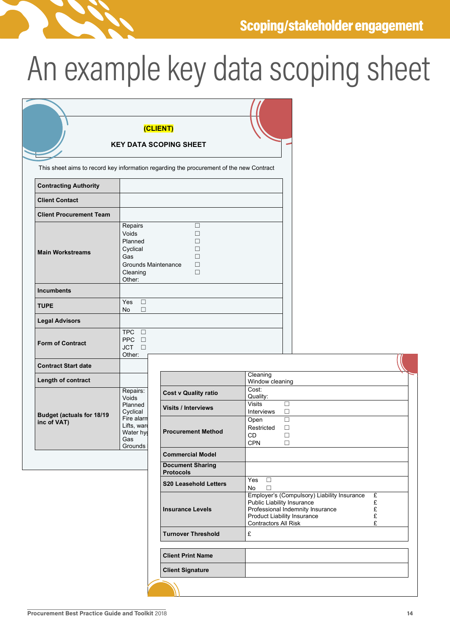

# An example key data scoping sheet

|                                                 |                                                                                             | (CLIENT)                                                                                |                                                                                                                                                                      |                       |
|-------------------------------------------------|---------------------------------------------------------------------------------------------|-----------------------------------------------------------------------------------------|----------------------------------------------------------------------------------------------------------------------------------------------------------------------|-----------------------|
| <b>KEY DATA SCOPING SHEET</b>                   |                                                                                             |                                                                                         |                                                                                                                                                                      |                       |
|                                                 |                                                                                             |                                                                                         |                                                                                                                                                                      |                       |
|                                                 |                                                                                             | This sheet aims to record key information regarding the procurement of the new Contract |                                                                                                                                                                      |                       |
| <b>Contracting Authority</b>                    |                                                                                             |                                                                                         |                                                                                                                                                                      |                       |
| <b>Client Contact</b>                           |                                                                                             |                                                                                         |                                                                                                                                                                      |                       |
| <b>Client Procurement Team</b>                  |                                                                                             |                                                                                         |                                                                                                                                                                      |                       |
| <b>Main Workstreams</b>                         | Repairs<br>Voids<br>Planned<br>Cyclical<br>Gas<br>Grounds Maintenance<br>Cleaning<br>Other: | $\Box$<br>П<br>П<br>П<br>П<br>$\Box$<br>$\Box$                                          |                                                                                                                                                                      |                       |
| <b>Incumbents</b>                               |                                                                                             |                                                                                         |                                                                                                                                                                      |                       |
| <b>TUPE</b>                                     | $\Box$<br>Yes<br>No<br>$\Box$                                                               |                                                                                         |                                                                                                                                                                      |                       |
| <b>Legal Advisors</b>                           |                                                                                             |                                                                                         |                                                                                                                                                                      |                       |
| <b>Form of Contract</b>                         | TPC O<br>PPC O<br>$JCT$ $\Box$<br>Other:                                                    |                                                                                         |                                                                                                                                                                      |                       |
| <b>Contract Start date</b>                      |                                                                                             |                                                                                         |                                                                                                                                                                      |                       |
| Length of contract                              |                                                                                             |                                                                                         | Cleaning<br>Window cleaning                                                                                                                                          |                       |
|                                                 | Repairs:<br>Voids                                                                           | <b>Cost v Quality ratio</b>                                                             | Cost:<br>Quality:                                                                                                                                                    |                       |
|                                                 | Planned<br>Cyclical                                                                         | <b>Visits / Interviews</b>                                                              | <b>Visits</b><br>$\Box$<br>$\Box$<br>Interviews                                                                                                                      |                       |
| <b>Budget (actuals for 18/19</b><br>inc of VAT) | Fire alarm<br>Lifts, ward<br>Water hy<br>Gas<br>Grounds                                     | <b>Procurement Method</b>                                                               | $\Box$<br>Open<br>Restricted<br>□<br>CD<br>□<br><b>CPN</b><br>$\Box$                                                                                                 |                       |
|                                                 |                                                                                             | <b>Commercial Model</b>                                                                 |                                                                                                                                                                      |                       |
|                                                 |                                                                                             | <b>Document Sharing</b><br><b>Protocols</b>                                             |                                                                                                                                                                      |                       |
|                                                 |                                                                                             | <b>S20 Leasehold Letters</b>                                                            | $\Box$<br>Yes<br>$\Box$<br>No                                                                                                                                        |                       |
|                                                 |                                                                                             | <b>Insurance Levels</b>                                                                 | Employer's (Compulsory) Liability Insurance<br>Public Liability Insurance<br>Professional Indemnity Insurance<br>Product Liability Insurance<br>Contractors All Risk | £<br>£<br>£<br>£<br>£ |
|                                                 |                                                                                             | <b>Turnover Threshold</b>                                                               | £                                                                                                                                                                    |                       |
|                                                 |                                                                                             | <b>Client Print Name</b>                                                                |                                                                                                                                                                      |                       |
|                                                 |                                                                                             | <b>Client Signature</b>                                                                 |                                                                                                                                                                      |                       |
|                                                 |                                                                                             |                                                                                         |                                                                                                                                                                      |                       |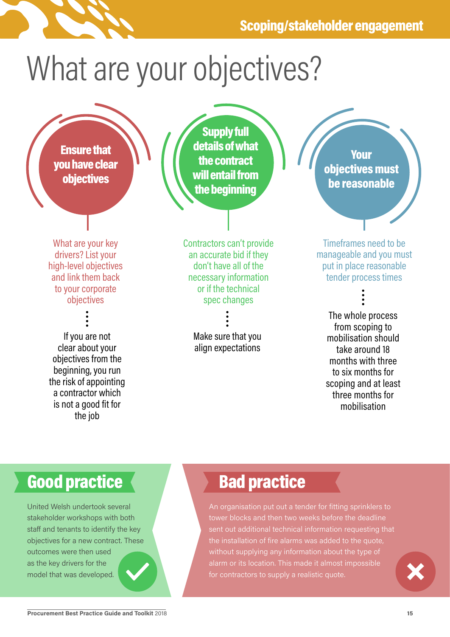# What are your objectives?

Ensure that you have clear objectives

Supply full details of what the contract will entail from the beginning

What are your key drivers? List your high-level objectives and link them back to your corporate objectives

If you are not clear about your objectives from the beginning, you run the risk of appointing a contractor which is not a good fit for the job

Contractors can't provide an accurate bid if they don't have all of the necessary information or if the technical spec changes

> Make sure that you align expectations

Your objectives must be reasonable

Timeframes need to be manageable and you must put in place reasonable tender process times

The whole process from scoping to mobilisation should take around 18 months with three to six months for scoping and at least three months for mobilisation

## Good practice **Bad practice**

United Welsh undertook several stakeholder workshops with both staff and tenants to identify the key objectives for a new contract. These outcomes were then used as the key drivers for the model that was developed.

An organisation put out a tender for fitting sprinklers to tower blocks and then two weeks before the deadline sent out additional technical information requesting that the installation of fire alarms was added to the quote, without supplying any information about the type of alarm or its location. This made it almost impossible for contractors to supply a realistic quote.

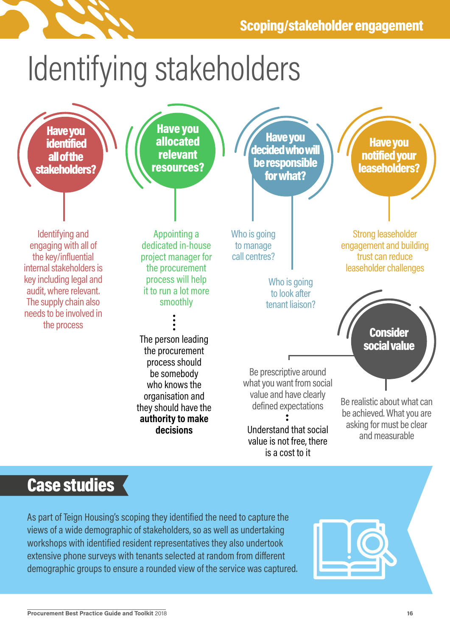

# Identifying stakeholders



## Case studies

As part of Teign Housing's scoping they identified the need to capture the views of a wide demographic of stakeholders, so as well as undertaking workshops with identified resident representatives they also undertook extensive phone surveys with tenants selected at random from different demographic groups to ensure a rounded view of the service was captured.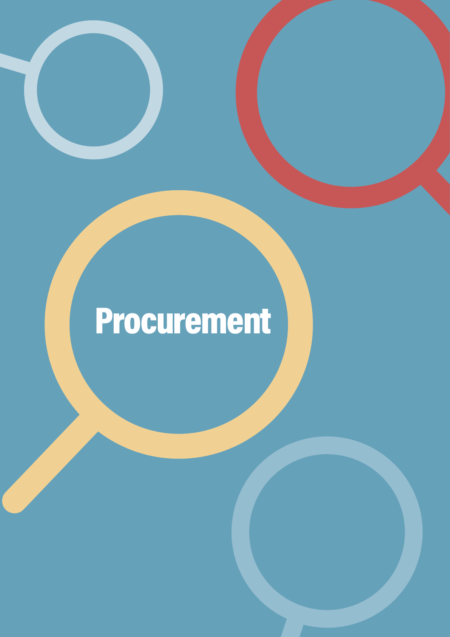# Procurement

**Procurement Best Practice Guide and Toolkit** 2018 **17**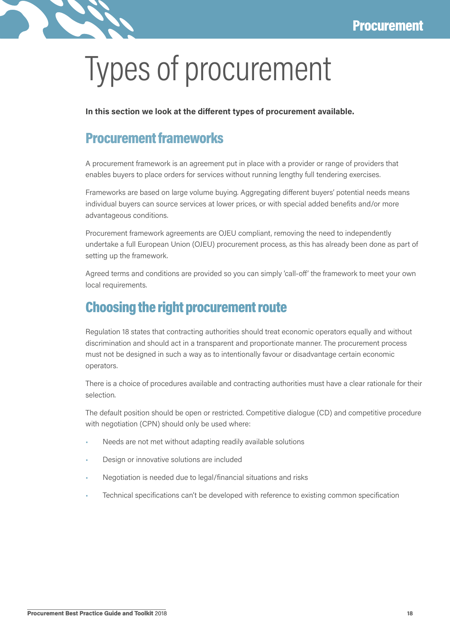

# Types of procurement

**In this section we look at the different types of procurement available.**

### Procurement frameworks

A procurement framework is an agreement put in place with a provider or range of providers that enables buyers to place orders for services without running lengthy full tendering exercises.

Frameworks are based on large volume buying. Aggregating different buyers' potential needs means individual buyers can source services at lower prices, or with special added benefits and/or more advantageous conditions.

Procurement framework agreements are OJEU compliant, removing the need to independently undertake a full European Union (OJEU) procurement process, as this has already been done as part of setting up the framework.

Agreed terms and conditions are provided so you can simply 'call-off' the framework to meet your own local requirements.

### Choosing the right procurement route

Regulation 18 states that contracting authorities should treat economic operators equally and without discrimination and should act in a transparent and proportionate manner. The procurement process must not be designed in such a way as to intentionally favour or disadvantage certain economic operators.

There is a choice of procedures available and contracting authorities must have a clear rationale for their selection.

The default position should be open or restricted. Competitive dialogue (CD) and competitive procedure with negotiation (CPN) should only be used where:

- Needs are not met without adapting readily available solutions
- Design or innovative solutions are included
- Negotiation is needed due to legal/financial situations and risks
- Technical specifications can't be developed with reference to existing common specification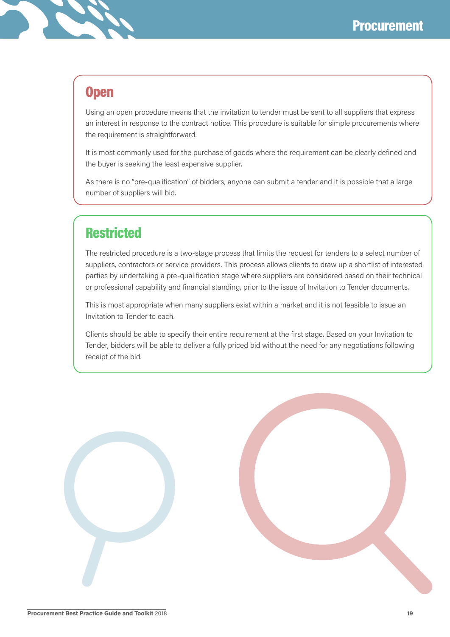

### **Open**

Using an open procedure means that the invitation to tender must be sent to all suppliers that express an interest in response to the contract notice. This procedure is suitable for simple procurements where the requirement is straightforward.

It is most commonly used for the purchase of goods where the requirement can be clearly defined and the buyer is seeking the least expensive supplier.

As there is no "pre-qualification" of bidders, anyone can submit a tender and it is possible that a large number of suppliers will bid.

### **Restricted**

The restricted procedure is a two-stage process that limits the request for tenders to a select number of suppliers, contractors or service providers. This process allows clients to draw up a shortlist of interested parties by undertaking a pre-qualification stage where suppliers are considered based on their technical or professional capability and financial standing, prior to the issue of Invitation to Tender documents.

This is most appropriate when many suppliers exist within a market and it is not feasible to issue an Invitation to Tender to each.

Clients should be able to specify their entire requirement at the first stage. Based on your Invitation to Tender, bidders will be able to deliver a fully priced bid without the need for any negotiations following receipt of the bid.

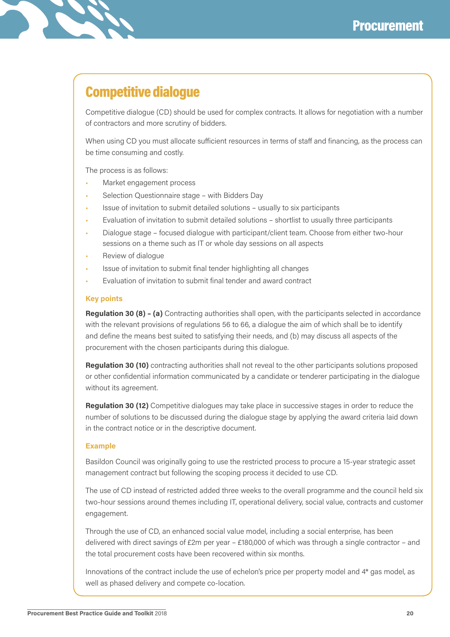## Competitive dialogue

Competitive dialogue (CD) should be used for complex contracts. It allows for negotiation with a number of contractors and more scrutiny of bidders.

When using CD you must allocate sufficient resources in terms of staff and financing, as the process can be time consuming and costly.

The process is as follows:

- Market engagement process
- Selection Questionnaire stage with Bidders Day
- Issue of invitation to submit detailed solutions usually to six participants
- Evaluation of invitation to submit detailed solutions shortlist to usually three participants
- Dialogue stage focused dialogue with participant/client team. Choose from either two-hour sessions on a theme such as IT or whole day sessions on all aspects
- Review of dialogue
- Issue of invitation to submit final tender highlighting all changes
- Evaluation of invitation to submit final tender and award contract

#### **Key points**

**Regulation 30 (8) – (a)** Contracting authorities shall open, with the participants selected in accordance with the relevant provisions of regulations 56 to 66, a dialogue the aim of which shall be to identify and define the means best suited to satisfying their needs, and (b) may discuss all aspects of the procurement with the chosen participants during this dialogue.

**Regulation 30 (10)** contracting authorities shall not reveal to the other participants solutions proposed or other confidential information communicated by a candidate or tenderer participating in the dialogue without its agreement.

**Regulation 30 (12)** Competitive dialogues may take place in successive stages in order to reduce the number of solutions to be discussed during the dialogue stage by applying the award criteria laid down in the contract notice or in the descriptive document.

#### **Example**

Basildon Council was originally going to use the restricted process to procure a 15-year strategic asset management contract but following the scoping process it decided to use CD.

The use of CD instead of restricted added three weeks to the overall programme and the council held six two-hour sessions around themes including IT, operational delivery, social value, contracts and customer engagement.

Through the use of CD, an enhanced social value model, including a social enterprise, has been delivered with direct savings of  $£2m$  per year  $-£180,000$  of which was through a single contractor  $-$  and the total procurement costs have been recovered within six months.

Innovations of the contract include the use of echelon's price per property model and 4\* gas model, as well as phased delivery and compete co-location.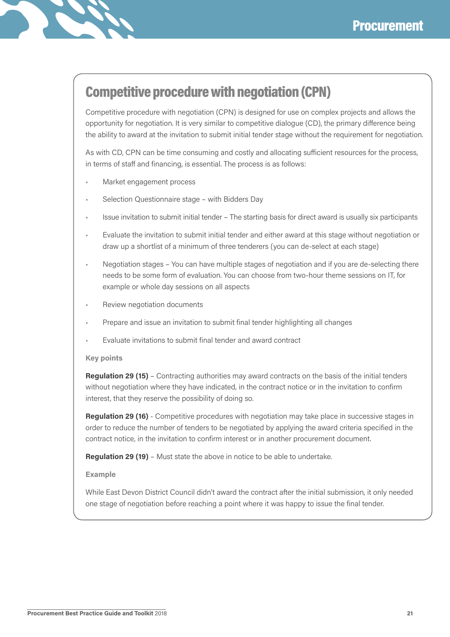

## Competitive procedure with negotiation (CPN)

Competitive procedure with negotiation (CPN) is designed for use on complex projects and allows the opportunity for negotiation. It is very similar to competitive dialogue (CD), the primary difference being the ability to award at the invitation to submit initial tender stage without the requirement for negotiation.

As with CD, CPN can be time consuming and costly and allocating sufficient resources for the process, in terms of staff and financing, is essential. The process is as follows:

- Market engagement process
- Selection Questionnaire stage with Bidders Day
- Issue invitation to submit initial tender The starting basis for direct award is usually six participants
- Evaluate the invitation to submit initial tender and either award at this stage without negotiation or draw up a shortlist of a minimum of three tenderers (you can de-select at each stage)
- Negotiation stages You can have multiple stages of negotiation and if you are de-selecting there needs to be some form of evaluation. You can choose from two-hour theme sessions on IT, for example or whole day sessions on all aspects
- Review negotiation documents
- Prepare and issue an invitation to submit final tender highlighting all changes
- Evaluate invitations to submit final tender and award contract

#### **Key points**

**Regulation 29 (15)** – Contracting authorities may award contracts on the basis of the initial tenders without negotiation where they have indicated, in the contract notice or in the invitation to confirm interest, that they reserve the possibility of doing so.

**Regulation 29 (16)** - Competitive procedures with negotiation may take place in successive stages in order to reduce the number of tenders to be negotiated by applying the award criteria specified in the contract notice, in the invitation to confirm interest or in another procurement document.

**Regulation 29 (19)** – Must state the above in notice to be able to undertake.

#### **Example**

While East Devon District Council didn't award the contract after the initial submission, it only needed one stage of negotiation before reaching a point where it was happy to issue the final tender.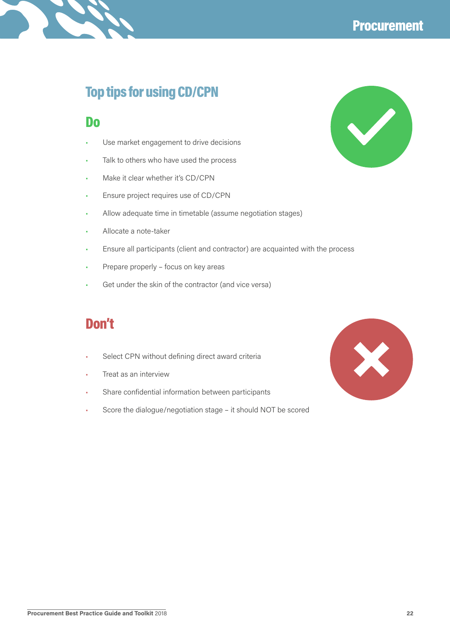

 $\blacktriangledown$ 

### Top tips for using CD/CPN

### Do

- Use market engagement to drive decisions
- Talk to others who have used the process
- Make it clear whether it's CD/CPN
- Ensure project requires use of CD/CPN
- Allow adequate time in timetable (assume negotiation stages)
- Allocate a note-taker
- Ensure all participants (client and contractor) are acquainted with the process
- Prepare properly focus on key areas
- Get under the skin of the contractor (and vice versa)

### Don't

- Select CPN without defining direct award criteria
- Treat as an interview
- Share confidential information between participants
- Score the dialogue/negotiation stage it should NOT be scored

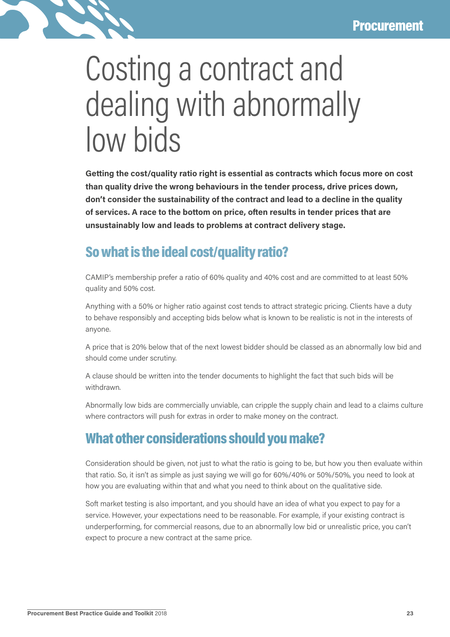

## Costing a contract and dealing with abnormally low bids

**Getting the cost/quality ratio right is essential as contracts which focus more on cost than quality drive the wrong behaviours in the tender process, drive prices down, don't consider the sustainability of the contract and lead to a decline in the quality of services. A race to the bottom on price, often results in tender prices that are unsustainably low and leads to problems at contract delivery stage.**

### So what is the ideal cost/quality ratio?

CAMIP's membership prefer a ratio of 60% quality and 40% cost and are committed to at least 50% quality and 50% cost.

Anything with a 50% or higher ratio against cost tends to attract strategic pricing. Clients have a duty to behave responsibly and accepting bids below what is known to be realistic is not in the interests of anyone.

A price that is 20% below that of the next lowest bidder should be classed as an abnormally low bid and should come under scrutiny.

A clause should be written into the tender documents to highlight the fact that such bids will be withdrawn.

Abnormally low bids are commercially unviable, can cripple the supply chain and lead to a claims culture where contractors will push for extras in order to make money on the contract.

### What other considerations should you make?

Consideration should be given, not just to what the ratio is going to be, but how you then evaluate within that ratio. So, it isn't as simple as just saying we will go for 60%/40% or 50%/50%, you need to look at how you are evaluating within that and what you need to think about on the qualitative side.

Soft market testing is also important, and you should have an idea of what you expect to pay for a service. However, your expectations need to be reasonable. For example, if your existing contract is underperforming, for commercial reasons, due to an abnormally low bid or unrealistic price, you can't expect to procure a new contract at the same price.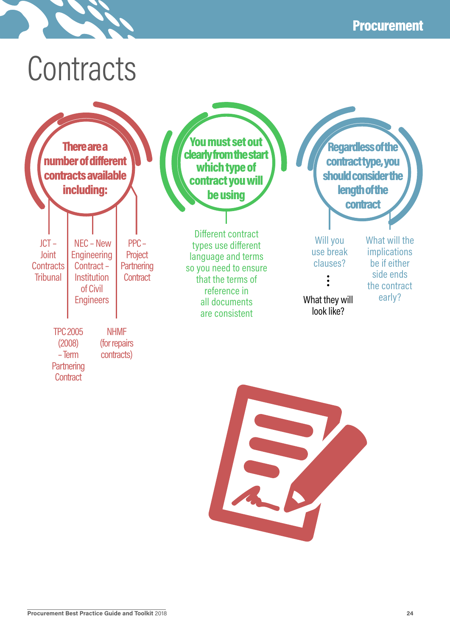## **Contracts**



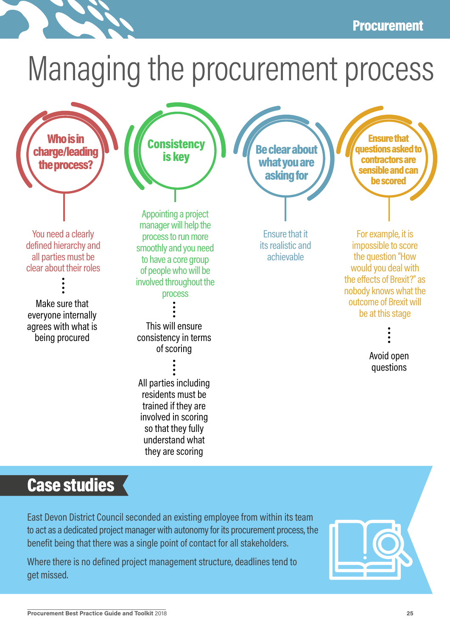### Procurement

# Managing the procurement process



## Case studies

East Devon District Council seconded an existing employee from within its team to act as a dedicated project manager with autonomy for its procurement process, the benefit being that there was a single point of contact for all stakeholders.

Where there is no defined project management structure, deadlines tend to get missed.

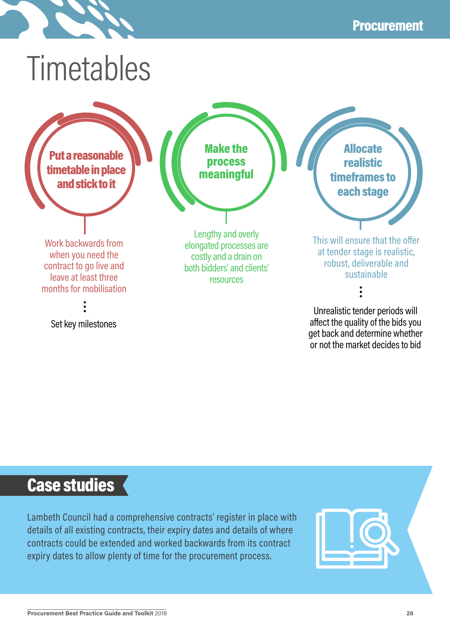# Timetables

Put a reasonable timetable in place and stick to it

Work backwards from when you need the contract to go live and leave at least three months for mobilisation

Set key milestones

Lengthy and overly elongated processes are costly and a drain on both bidders' and clients'

Make the process meaningful

resources

Allocate realistic timeframes to each stage

This will ensure that the offer at tender stage is realistic, robust, deliverable and sustainable

Unrealistic tender periods will affect the quality of the bids you get back and determine whether or not the market decides to bid

## Case studies

Lambeth Council had a comprehensive contracts' register in place with details of all existing contracts, their expiry dates and details of where contracts could be extended and worked backwards from its contract expiry dates to allow plenty of time for the procurement process.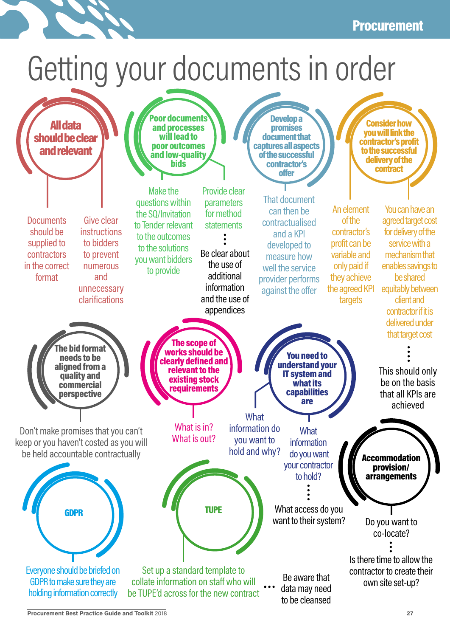### Procurement

# Getting your documents in order

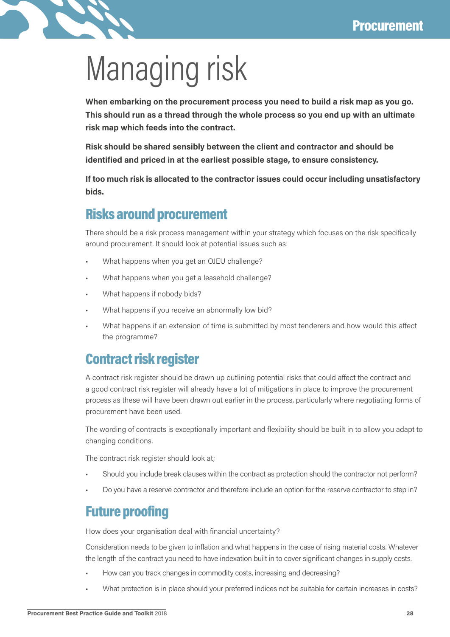

# Managing risk

**When embarking on the procurement process you need to build a risk map as you go. This should run as a thread through the whole process so you end up with an ultimate risk map which feeds into the contract.**

**Risk should be shared sensibly between the client and contractor and should be identified and priced in at the earliest possible stage, to ensure consistency.**

**If too much risk is allocated to the contractor issues could occur including unsatisfactory bids.**

### Risks around procurement

There should be a risk process management within your strategy which focuses on the risk specifically around procurement. It should look at potential issues such as:

- What happens when you get an OJEU challenge?
- What happens when you get a leasehold challenge?
- What happens if nobody bids?
- What happens if you receive an abnormally low bid?
- What happens if an extension of time is submitted by most tenderers and how would this affect the programme?

### Contract risk register

A contract risk register should be drawn up outlining potential risks that could affect the contract and a good contract risk register will already have a lot of mitigations in place to improve the procurement process as these will have been drawn out earlier in the process, particularly where negotiating forms of procurement have been used.

The wording of contracts is exceptionally important and flexibility should be built in to allow you adapt to changing conditions.

The contract risk register should look at;

- Should you include break clauses within the contract as protection should the contractor not perform?
- Do you have a reserve contractor and therefore include an option for the reserve contractor to step in?

### Future proofing

How does your organisation deal with financial uncertainty?

Consideration needs to be given to inflation and what happens in the case of rising material costs. Whatever the length of the contract you need to have indexation built in to cover significant changes in supply costs.

- How can you track changes in commodity costs, increasing and decreasing?
- What protection is in place should your preferred indices not be suitable for certain increases in costs?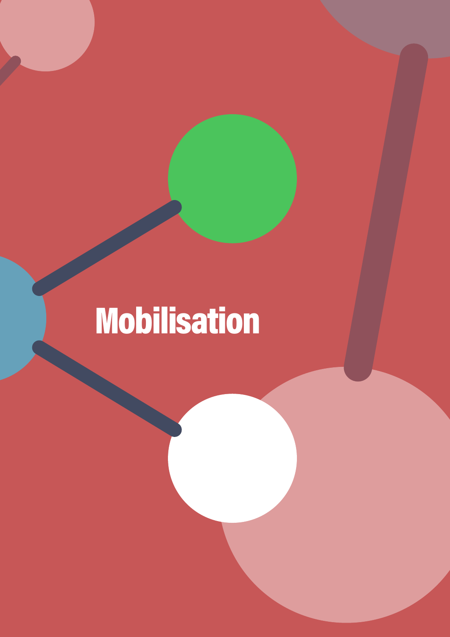# Mobilisation

**Procurement Best Practice Guide and Toolkit** 2018 **29**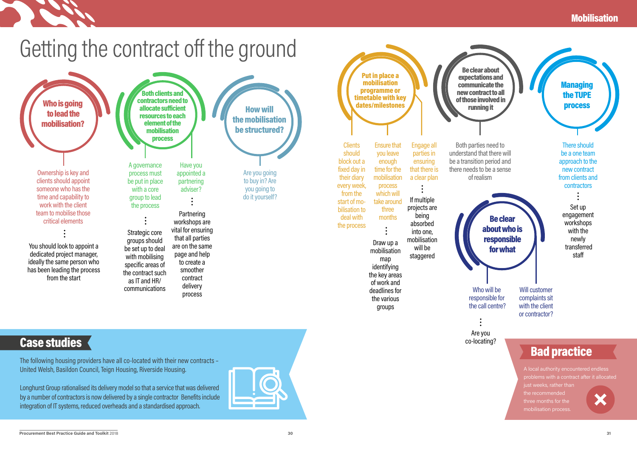### **Mobilisation**

## Getting the contract off the ground

Be clear about of those involved in

> Be clear about who is responsible for what

be a one team approach to the new contract from clients and **contractors** 

Are you co-locating?

Set up engagement workshops with the newly transferred staff

**Managing** the TUPE process



There should

Will customer complaints sit with the client or contractor?

Who will be responsible for the call centre?

The following housing providers have all co-located with their new contracts – United Welsh, Basildon Council, Teign Housing, Riverside Housing.

Longhurst Group rationalised its delivery model so that a service that was delivered by a number of contractors is now delivered by a single contractor Benefits include integration of IT systems, reduced overheads and a standardised approach.



## Case studies

A local authority encountered endless problems with a contract after it allocated just weeks, rather than the recommended three months for the mobilisation process.

## Bad practice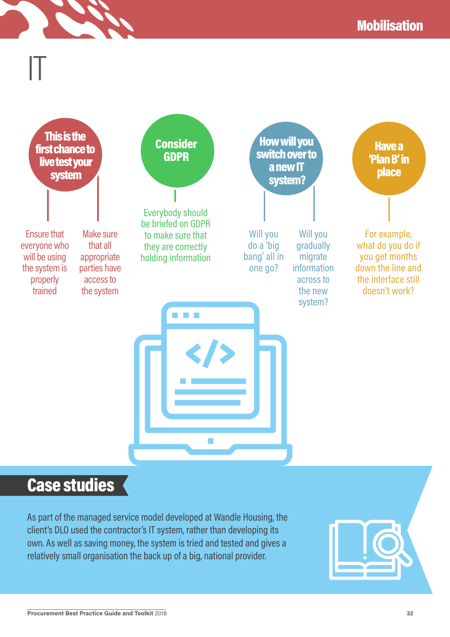

## Case studies

As part of the managed service model developed at Wandle Housing, the client's DLO used the contractor's IT system, rather than developing its own. As well as saving money, the system is tried and tested and gives a relatively small organisation the back up of a big, national provider.

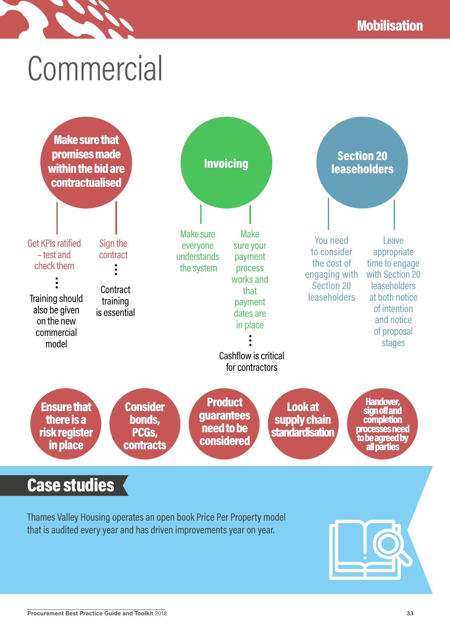# Commercial

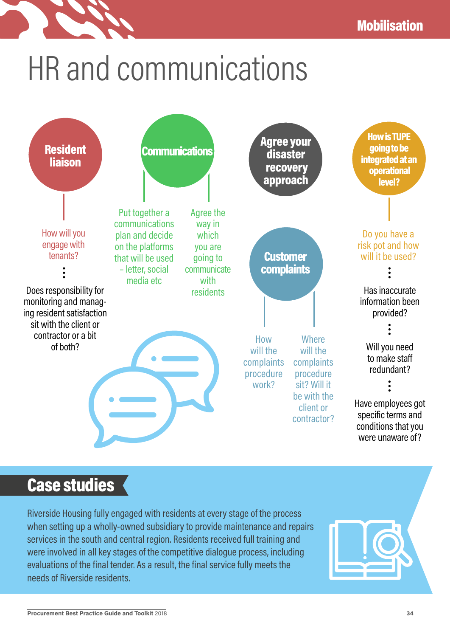# HR and communications



## Case studies

Riverside Housing fully engaged with residents at every stage of the process when setting up a wholly-owned subsidiary to provide maintenance and repairs services in the south and central region. Residents received full training and were involved in all key stages of the competitive dialogue process, including evaluations of the final tender. As a result, the final service fully meets the needs of Riverside residents.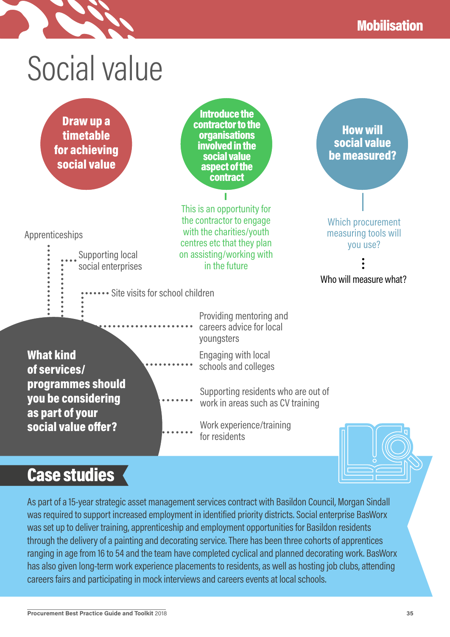Which procurement measuring tools will you use?

Who will measure what?

How will social value be measured?





Supporting local social enterprises

Apprenticeships

Introduce the contractor to the organisations involved in the social value aspect of the contract

This is an opportunity for the contractor to engage with the charities/youth centres etc that they plan on assisting/working with in the future

• Site visits for school children

Providing mentoring and careers advice for local youngsters

What kind of services/ programmes should you be considering as part of your social value offer?

Engaging with local schools and colleges

Supporting residents who are out of work in areas such as CV training

Work experience/training for residents



## Case studies

As part of a 15-year strategic asset management services contract with Basildon Council, Morgan Sindall was required to support increased employment in identified priority districts. Social enterprise BasWorx was set up to deliver training, apprenticeship and employment opportunities for Basildon residents through the delivery of a painting and decorating service. There has been three cohorts of apprentices ranging in age from 16 to 54 and the team have completed cyclical and planned decorating work. BasWorx has also given long-term work experience placements to residents, as well as hosting job clubs, attending careers fairs and participating in mock interviews and careers events at local schools.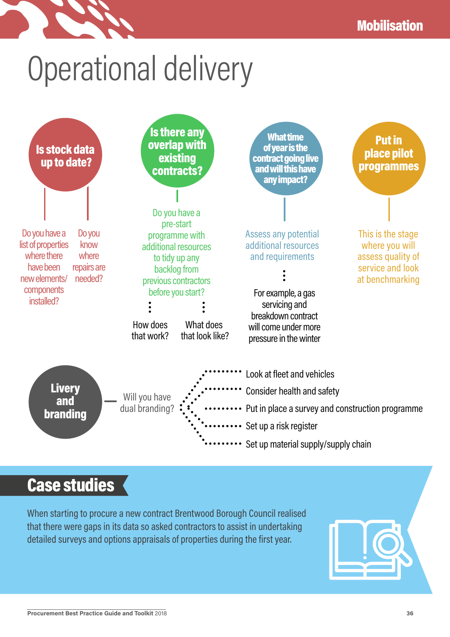# Operational delivery



## Case studies

When starting to procure a new contract Brentwood Borough Council realised that there were gaps in its data so asked contractors to assist in undertaking detailed surveys and options appraisals of properties during the first year.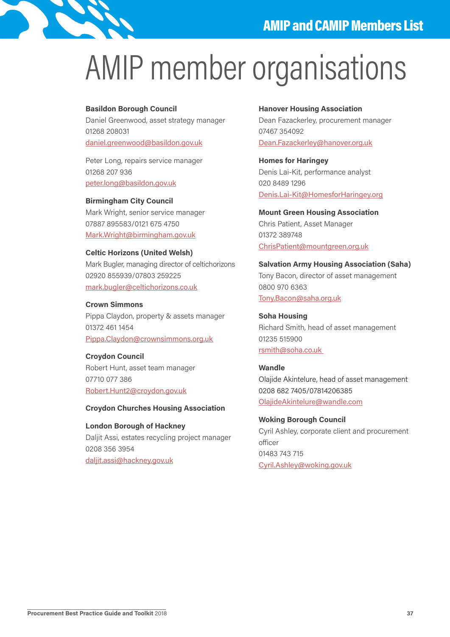

# AMIP member organisations

#### **Basildon Borough Council**

Daniel Greenwood, asset strategy manager 01268 208031 daniel.greenwood@basildon.gov.uk

Peter Long, repairs service manager 01268 207 936 peter.long@basildon.gov.uk

**Birmingham City Council** Mark Wright, senior service manager 07887 895583/0121 675 4750 Mark.Wright@birmingham.gov.uk

**Celtic Horizons (United Welsh)** Mark Bugler, managing director of celtichorizons 02920 855939/07803 259225 mark.bugler@celtichorizons.co.uk

#### **Crown Simmons**

Pippa Claydon, property & assets manager 01372 461 1454 Pippa.Claydon@crownsimmons.org.uk

**Croydon Council** Robert Hunt, asset team manager 07710 077 386 Robert.Hunt2@croydon.gov.uk

#### **Croydon Churches Housing Association**

**London Borough of Hackney**  Daljit Assi, estates recycling project manager 0208 356 3954 daljit.assi@hackney.gov.uk

#### **Hanover Housing Association**

Dean Fazackerley, procurement manager 07467 354092 Dean.Fazackerley@hanover.org.uk

**Homes for Haringey**  Denis Lai-Kit, performance analyst 020 8489 1296 Denis.Lai-Kit@HomesforHaringey.org

**Mount Green Housing Association** Chris Patient, Asset Manager 01372 389748 ChrisPatient@mountgreen.org.uk

**Salvation Army Housing Association (Saha)**  Tony Bacon, director of asset management 0800 970 6363 Tony.Bacon@saha.org.uk

**Soha Housing** Richard Smith, head of asset management 01235 515900 rsmith@soha.co.uk

**Wandle**  Olajide Akintelure, head of asset management 0208 682 7405/07814206385 OlajideAkintelure@wandle.com

**Woking Borough Council** Cyril Ashley, corporate client and procurement officer 01483 743 715 Cyril.Ashley@woking.gov.uk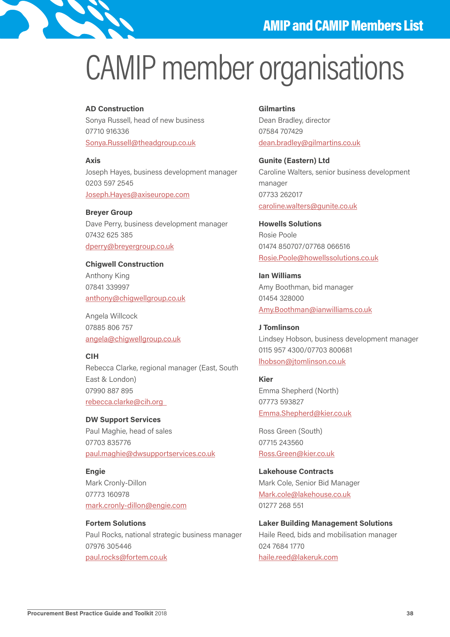

# CAMIP member organisations

#### **AD Construction**

Sonya Russell, head of new business 07710 916336 Sonya.Russell@theadgroup.co.uk

**Axis**  Joseph Hayes, business development manager 0203 597 2545 Joseph.Hayes@axiseurope.com

**Breyer Group** Dave Perry, business development manager 07432 625 385 dperry@breyergroup.co.uk

**Chigwell Construction**  Anthony King 07841 339997 anthony@chigwellgroup.co.uk

Angela Willcock 07885 806 757 angela@chigwellgroup.co.uk

#### **CIH**

Rebecca Clarke, regional manager (East, South East & London) 07990 887 895 rebecca.clarke@cih.org

**DW Support Services**  Paul Maghie, head of sales 07703 835776 paul.maghie@dwsupportservices.co.uk

**Engie**  Mark Cronly-Dillon 07773 160978 mark.cronly-dillon@engie.com

**Fortem Solutions** Paul Rocks, national strategic business manager 07976 305446 paul.rocks@fortem.co.uk

#### **Gilmartins**

Dean Bradley, director 07584 707429 dean.bradley@gilmartins.co.uk

**Gunite (Eastern) Ltd** Caroline Walters, senior business development manager 07733 262017 caroline.walters@gunite.co.uk

**Howells Solutions** Rosie Poole 01474 850707/07768 066516 Rosie.Poole@howellssolutions.co.uk

**Ian Williams**  Amy Boothman, bid manager 01454 328000 Amy.Boothman@ianwilliams.co.uk

**J Tomlinson** Lindsey Hobson, business development manager 0115 957 4300/07703 800681 lhobson@jtomlinson.co.uk

#### **Kier**

Emma Shepherd (North) 07773 593827 Emma.Shepherd@kier.co.uk

Ross Green (South) 07715 243560 Ross.Green@kier.co.uk

**Lakehouse Contracts** Mark Cole, Senior Bid Manager Mark.cole@lakehouse.co.uk 01277 268 551

**Laker Building Management Solutions** Haile Reed, bids and mobilisation manager 024 7684 1770 haile.reed@lakeruk.com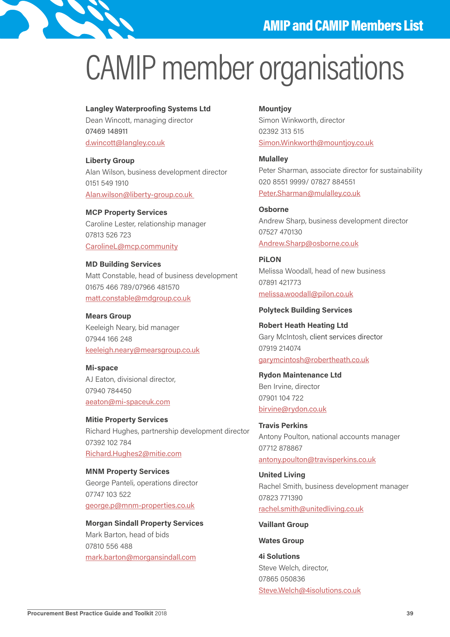

## CAMIP member organisations

#### **Langley Waterproofing Systems Ltd**

Dean Wincott, managing director 07469 148911 d.wincott@langley.co.uk

**Liberty Group**  Alan Wilson, business development director 0151 549 1910 Alan.wilson@liberty-group.co.uk

**MCP Property Services**  Caroline Lester, relationship manager 07813 526 723 CarolineL@mcp.community

#### **MD Building Services**

Matt Constable, head of business development 01675 466 789/07966 481570 matt.constable@mdgroup.co.uk

**Mears Group** Keeleigh Neary, bid manager 07944 166 248 keeleigh.neary@mearsgroup.co.uk

**Mi-space**  AJ Eaton, divisional director, 07940 784450 aeaton@mi-spaceuk.com

**Mitie Property Services** Richard Hughes, partnership development director 07392 102 784 Richard.Hughes2@mitie.com

**MNM Property Services**  George Panteli, operations director 07747 103 522 george.p@mnm-properties.co.uk

#### **Morgan Sindall Property Services**

Mark Barton, head of bids 07810 556 488 mark.barton@morgansindall.com

#### **Mountjoy**

Simon Winkworth, director 02392 313 515 Simon.Winkworth@mountjoy.co.uk

**Mulalley**  Peter Sharman, associate director for sustainability 020 8551 9999/ 07827 884551 Peter.Sharman@mulalley.co.uk

**Osborne**  Andrew Sharp, business development director 07527 470130 Andrew.Sharp@osborne.co.uk

**PiLON**  Melissa Woodall, head of new business 07891 421773 melissa.woodall@pilon.co.uk

#### **Polyteck Building Services**

**Robert Heath Heating Ltd** Gary McIntosh, client services director 07919 214074 garymcintosh@robertheath.co.uk

**Rydon Maintenance Ltd** Ben Irvine, director 07901 104 722 birvine@rydon.co.uk

**Travis Perkins** Antony Poulton, national accounts manager 07712 878867 antony.poulton@travisperkins.co.uk

**United Living** Rachel Smith, business development manager 07823 771390 rachel.smith@unitedliving.co.uk

**Vaillant Group**

#### **Wates Group**

**4i Solutions**  Steve Welch, director, 07865 050836 Steve.Welch@4isolutions.co.uk